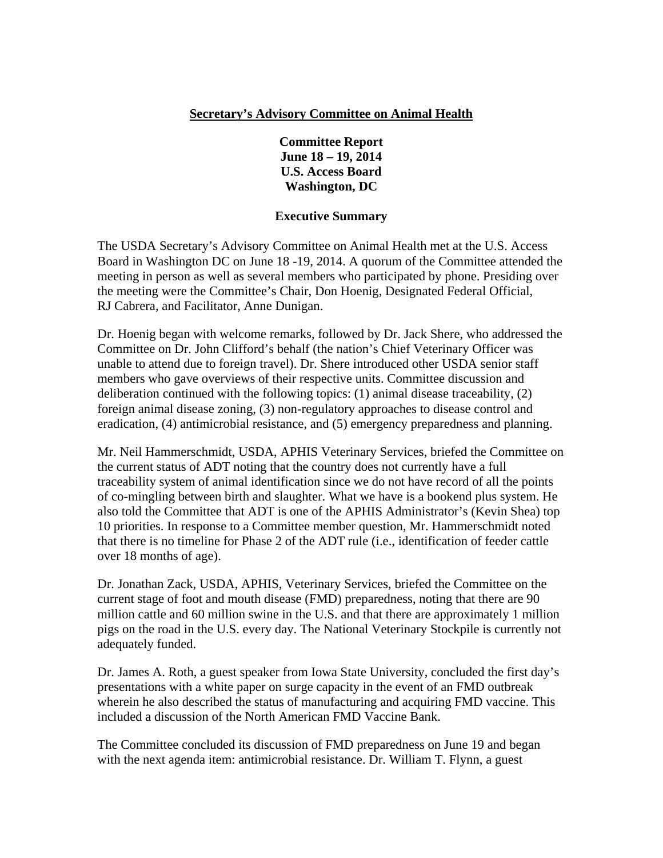### **Secretary's Advisory Committee on Animal Health**

### **Committee Report June 18 – 19, 2014 U.S. Access Board Washington, DC**

### **Executive Summary**

The USDA Secretary's Advisory Committee on Animal Health met at the U.S. Access Board in Washington DC on June 18 -19, 2014. A quorum of the Committee attended the meeting in person as well as several members who participated by phone. Presiding over the meeting were the Committee's Chair, Don Hoenig, Designated Federal Official, RJ Cabrera, and Facilitator, Anne Dunigan.

Dr. Hoenig began with welcome remarks, followed by Dr. Jack Shere, who addressed the Committee on Dr. John Clifford's behalf (the nation's Chief Veterinary Officer was unable to attend due to foreign travel). Dr. Shere introduced other USDA senior staff members who gave overviews of their respective units. Committee discussion and deliberation continued with the following topics: (1) animal disease traceability, (2) foreign animal disease zoning, (3) non-regulatory approaches to disease control and eradication, (4) antimicrobial resistance, and (5) emergency preparedness and planning.

Mr. Neil Hammerschmidt, USDA, APHIS Veterinary Services, briefed the Committee on the current status of ADT noting that the country does not currently have a full traceability system of animal identification since we do not have record of all the points of co-mingling between birth and slaughter. What we have is a bookend plus system. He also told the Committee that ADT is one of the APHIS Administrator's (Kevin Shea) top 10 priorities. In response to a Committee member question, Mr. Hammerschmidt noted that there is no timeline for Phase 2 of the ADT rule (i.e., identification of feeder cattle over 18 months of age).

Dr. Jonathan Zack, USDA, APHIS, Veterinary Services, briefed the Committee on the current stage of foot and mouth disease (FMD) preparedness, noting that there are 90 million cattle and 60 million swine in the U.S. and that there are approximately 1 million pigs on the road in the U.S. every day. The National Veterinary Stockpile is currently not adequately funded.

Dr. James A. Roth, a guest speaker from Iowa State University, concluded the first day's presentations with a white paper on surge capacity in the event of an FMD outbreak wherein he also described the status of manufacturing and acquiring FMD vaccine. This included a discussion of the North American FMD Vaccine Bank.

The Committee concluded its discussion of FMD preparedness on June 19 and began with the next agenda item: antimicrobial resistance. Dr. William T. Flynn, a guest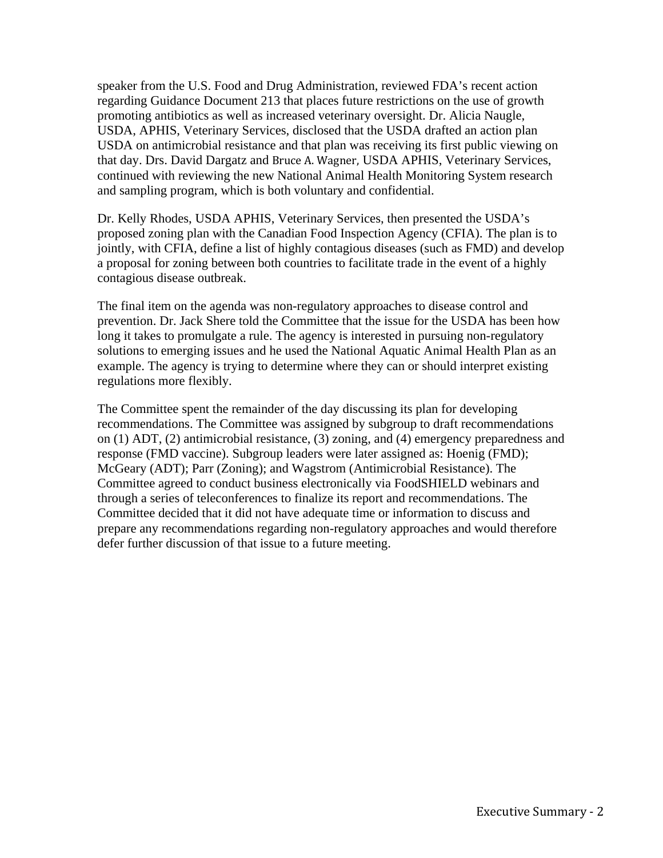speaker from the U.S. Food and Drug Administration, reviewed FDA's recent action regarding Guidance Document 213 that places future restrictions on the use of growth promoting antibiotics as well as increased veterinary oversight. Dr. Alicia Naugle, USDA, APHIS, Veterinary Services, disclosed that the USDA drafted an action plan USDA on antimicrobial resistance and that plan was receiving its first public viewing on that day. Drs. David Dargatz and Bruce A. Wagner, USDA APHIS, Veterinary Services, continued with reviewing the new National Animal Health Monitoring System research and sampling program, which is both voluntary and confidential.

Dr. Kelly Rhodes, USDA APHIS, Veterinary Services, then presented the USDA's proposed zoning plan with the Canadian Food Inspection Agency (CFIA). The plan is to jointly, with CFIA, define a list of highly contagious diseases (such as FMD) and develop a proposal for zoning between both countries to facilitate trade in the event of a highly contagious disease outbreak.

The final item on the agenda was non-regulatory approaches to disease control and prevention. Dr. Jack Shere told the Committee that the issue for the USDA has been how long it takes to promulgate a rule. The agency is interested in pursuing non-regulatory solutions to emerging issues and he used the National Aquatic Animal Health Plan as an example. The agency is trying to determine where they can or should interpret existing regulations more flexibly.

The Committee spent the remainder of the day discussing its plan for developing recommendations. The Committee was assigned by subgroup to draft recommendations on (1) ADT, (2) antimicrobial resistance, (3) zoning, and (4) emergency preparedness and response (FMD vaccine). Subgroup leaders were later assigned as: Hoenig (FMD); McGeary (ADT); Parr (Zoning); and Wagstrom (Antimicrobial Resistance). The Committee agreed to conduct business electronically via FoodSHIELD webinars and through a series of teleconferences to finalize its report and recommendations. The Committee decided that it did not have adequate time or information to discuss and prepare any recommendations regarding non-regulatory approaches and would therefore defer further discussion of that issue to a future meeting.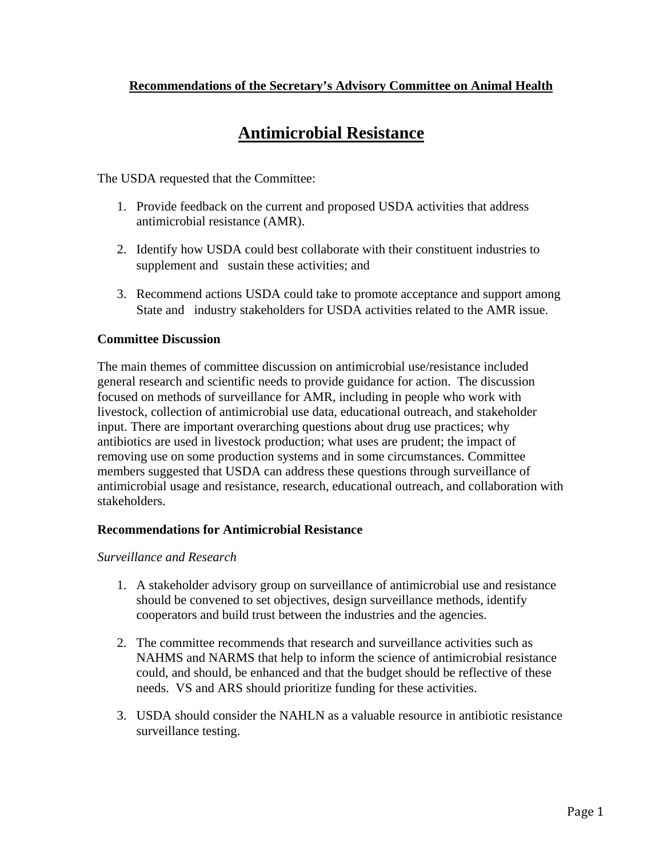### **Recommendations of the Secretary's Advisory Committee on Animal Health**

# **Antimicrobial Resistance**

The USDA requested that the Committee:

- 1. Provide feedback on the current and proposed USDA activities that address antimicrobial resistance (AMR).
- 2. Identify how USDA could best collaborate with their constituent industries to supplement and sustain these activities; and
- 3. Recommend actions USDA could take to promote acceptance and support among State and industry stakeholders for USDA activities related to the AMR issue.

### **Committee Discussion**

The main themes of committee discussion on antimicrobial use/resistance included general research and scientific needs to provide guidance for action. The discussion focused on methods of surveillance for AMR, including in people who work with livestock, collection of antimicrobial use data, educational outreach, and stakeholder input. There are important overarching questions about drug use practices; why antibiotics are used in livestock production; what uses are prudent; the impact of removing use on some production systems and in some circumstances. Committee members suggested that USDA can address these questions through surveillance of antimicrobial usage and resistance, research, educational outreach, and collaboration with stakeholders.

### **Recommendations for Antimicrobial Resistance**

### *Surveillance and Research*

- 1. A stakeholder advisory group on surveillance of antimicrobial use and resistance should be convened to set objectives, design surveillance methods, identify cooperators and build trust between the industries and the agencies.
- 2. The committee recommends that research and surveillance activities such as NAHMS and NARMS that help to inform the science of antimicrobial resistance could, and should, be enhanced and that the budget should be reflective of these needs. VS and ARS should prioritize funding for these activities.
- 3. USDA should consider the NAHLN as a valuable resource in antibiotic resistance surveillance testing.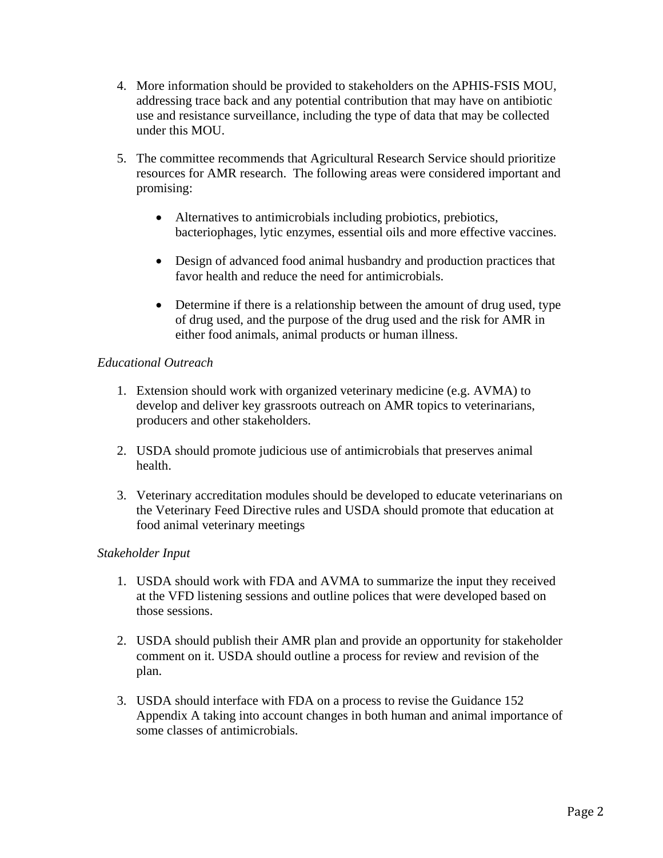- 4. More information should be provided to stakeholders on the APHIS-FSIS MOU, addressing trace back and any potential contribution that may have on antibiotic use and resistance surveillance, including the type of data that may be collected under this MOU.
- 5. The committee recommends that Agricultural Research Service should prioritize resources for AMR research. The following areas were considered important and promising:
	- Alternatives to antimicrobials including probiotics, prebiotics, bacteriophages, lytic enzymes, essential oils and more effective vaccines.
	- Design of advanced food animal husbandry and production practices that favor health and reduce the need for antimicrobials.
	- Determine if there is a relationship between the amount of drug used, type of drug used, and the purpose of the drug used and the risk for AMR in either food animals, animal products or human illness.

### *Educational Outreach*

- 1. Extension should work with organized veterinary medicine (e.g. AVMA) to develop and deliver key grassroots outreach on AMR topics to veterinarians, producers and other stakeholders.
- 2. USDA should promote judicious use of antimicrobials that preserves animal health.
- 3. Veterinary accreditation modules should be developed to educate veterinarians on the Veterinary Feed Directive rules and USDA should promote that education at food animal veterinary meetings

### *Stakeholder Input*

- 1. USDA should work with FDA and AVMA to summarize the input they received at the VFD listening sessions and outline polices that were developed based on those sessions.
- 2. USDA should publish their AMR plan and provide an opportunity for stakeholder comment on it. USDA should outline a process for review and revision of the plan.
- 3. USDA should interface with FDA on a process to revise the Guidance 152 Appendix A taking into account changes in both human and animal importance of some classes of antimicrobials.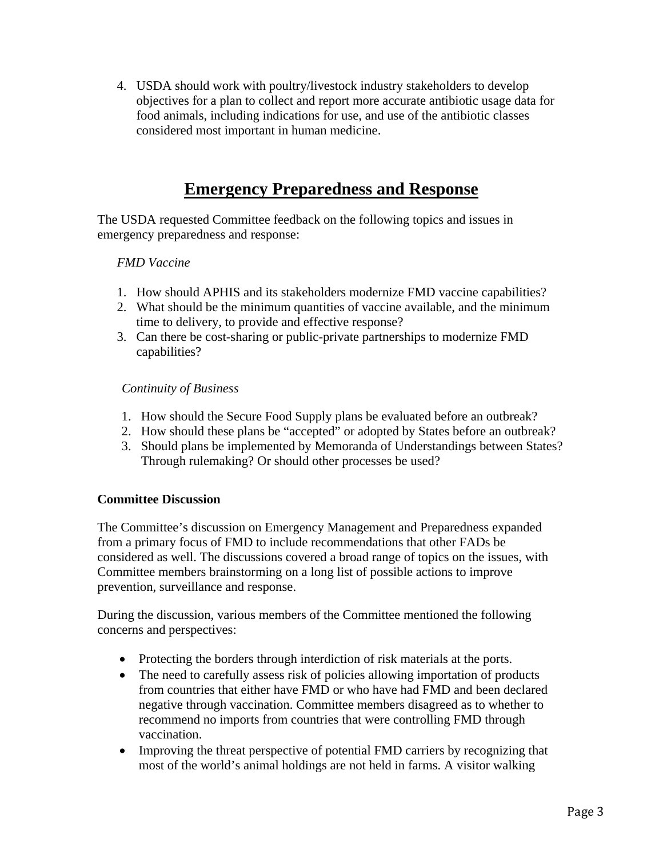4. USDA should work with poultry/livestock industry stakeholders to develop objectives for a plan to collect and report more accurate antibiotic usage data for food animals, including indications for use, and use of the antibiotic classes considered most important in human medicine.

# **Emergency Preparedness and Response**

The USDA requested Committee feedback on the following topics and issues in emergency preparedness and response:

### *FMD Vaccine*

- 1. How should APHIS and its stakeholders modernize FMD vaccine capabilities?
- 2. What should be the minimum quantities of vaccine available, and the minimum time to delivery, to provide and effective response?
- 3. Can there be cost-sharing or public-private partnerships to modernize FMD capabilities?

### *Continuity of Business*

- 1. How should the Secure Food Supply plans be evaluated before an outbreak?
- 2. How should these plans be "accepted" or adopted by States before an outbreak?
- 3. Should plans be implemented by Memoranda of Understandings between States? Through rulemaking? Or should other processes be used?

### **Committee Discussion**

The Committee's discussion on Emergency Management and Preparedness expanded from a primary focus of FMD to include recommendations that other FADs be considered as well. The discussions covered a broad range of topics on the issues, with Committee members brainstorming on a long list of possible actions to improve prevention, surveillance and response.

During the discussion, various members of the Committee mentioned the following concerns and perspectives:

- Protecting the borders through interdiction of risk materials at the ports.
- The need to carefully assess risk of policies allowing importation of products from countries that either have FMD or who have had FMD and been declared negative through vaccination. Committee members disagreed as to whether to recommend no imports from countries that were controlling FMD through vaccination.
- Improving the threat perspective of potential FMD carriers by recognizing that most of the world's animal holdings are not held in farms. A visitor walking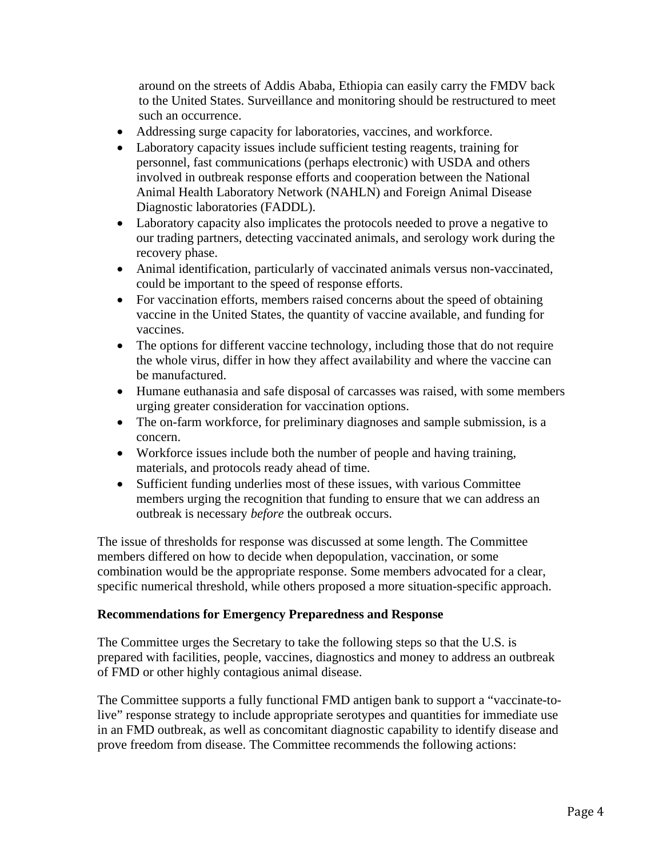around on the streets of Addis Ababa, Ethiopia can easily carry the FMDV back to the United States. Surveillance and monitoring should be restructured to meet such an occurrence.

- Addressing surge capacity for laboratories, vaccines, and workforce.
- Laboratory capacity issues include sufficient testing reagents, training for personnel, fast communications (perhaps electronic) with USDA and others involved in outbreak response efforts and cooperation between the National Animal Health Laboratory Network (NAHLN) and Foreign Animal Disease Diagnostic laboratories (FADDL).
- Laboratory capacity also implicates the protocols needed to prove a negative to our trading partners, detecting vaccinated animals, and serology work during the recovery phase.
- Animal identification, particularly of vaccinated animals versus non-vaccinated, could be important to the speed of response efforts.
- For vaccination efforts, members raised concerns about the speed of obtaining vaccine in the United States, the quantity of vaccine available, and funding for vaccines.
- The options for different vaccine technology, including those that do not require the whole virus, differ in how they affect availability and where the vaccine can be manufactured.
- Humane euthanasia and safe disposal of carcasses was raised, with some members urging greater consideration for vaccination options.
- The on-farm workforce, for preliminary diagnoses and sample submission, is a concern.
- Workforce issues include both the number of people and having training, materials, and protocols ready ahead of time.
- Sufficient funding underlies most of these issues, with various Committee members urging the recognition that funding to ensure that we can address an outbreak is necessary *before* the outbreak occurs.

The issue of thresholds for response was discussed at some length. The Committee members differed on how to decide when depopulation, vaccination, or some combination would be the appropriate response. Some members advocated for a clear, specific numerical threshold, while others proposed a more situation-specific approach.

### **Recommendations for Emergency Preparedness and Response**

The Committee urges the Secretary to take the following steps so that the U.S. is prepared with facilities, people, vaccines, diagnostics and money to address an outbreak of FMD or other highly contagious animal disease.

The Committee supports a fully functional FMD antigen bank to support a "vaccinate-tolive" response strategy to include appropriate serotypes and quantities for immediate use in an FMD outbreak, as well as concomitant diagnostic capability to identify disease and prove freedom from disease. The Committee recommends the following actions: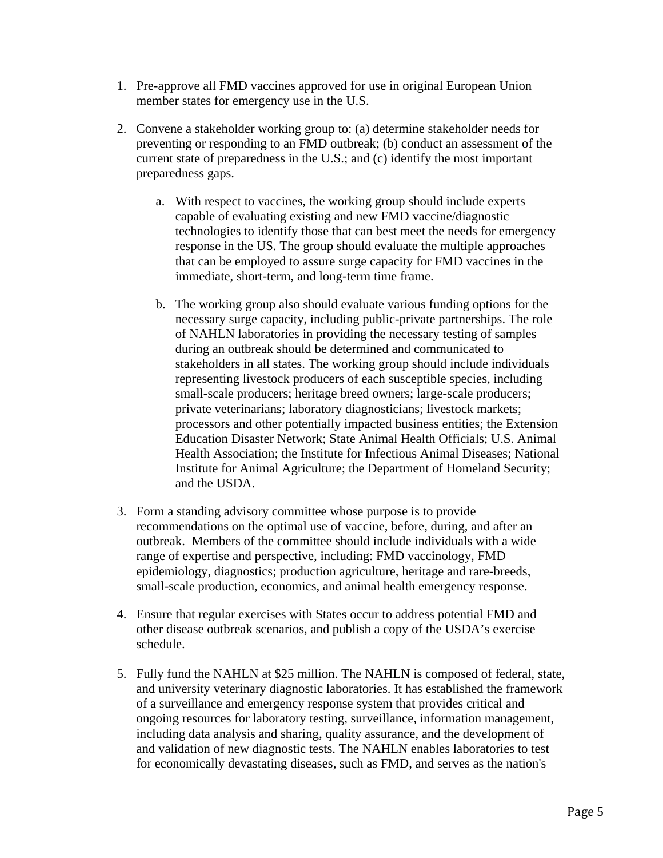- 1. Pre-approve all FMD vaccines approved for use in original European Union member states for emergency use in the U.S.
- 2. Convene a stakeholder working group to: (a) determine stakeholder needs for preventing or responding to an FMD outbreak; (b) conduct an assessment of the current state of preparedness in the U.S.; and (c) identify the most important preparedness gaps.
	- a. With respect to vaccines, the working group should include experts capable of evaluating existing and new FMD vaccine/diagnostic technologies to identify those that can best meet the needs for emergency response in the US. The group should evaluate the multiple approaches that can be employed to assure surge capacity for FMD vaccines in the immediate, short-term, and long-term time frame.
	- b. The working group also should evaluate various funding options for the necessary surge capacity, including public-private partnerships. The role of NAHLN laboratories in providing the necessary testing of samples during an outbreak should be determined and communicated to stakeholders in all states. The working group should include individuals representing livestock producers of each susceptible species, including small-scale producers; heritage breed owners; large-scale producers; private veterinarians; laboratory diagnosticians; livestock markets; processors and other potentially impacted business entities; the Extension Education Disaster Network; State Animal Health Officials; U.S. Animal Health Association; the Institute for Infectious Animal Diseases; National Institute for Animal Agriculture; the Department of Homeland Security; and the USDA.
- 3. Form a standing advisory committee whose purpose is to provide recommendations on the optimal use of vaccine, before, during, and after an outbreak. Members of the committee should include individuals with a wide range of expertise and perspective, including: FMD vaccinology, FMD epidemiology, diagnostics; production agriculture, heritage and rare-breeds, small-scale production, economics, and animal health emergency response.
- 4. Ensure that regular exercises with States occur to address potential FMD and other disease outbreak scenarios, and publish a copy of the USDA's exercise schedule.
- 5. Fully fund the NAHLN at \$25 million. The NAHLN is composed of federal, state, and university veterinary diagnostic laboratories. It has established the framework of a surveillance and emergency response system that provides critical and ongoing resources for laboratory testing, surveillance, information management, including data analysis and sharing, quality assurance, and the development of and validation of new diagnostic tests. The NAHLN enables laboratories to test for economically devastating diseases, such as FMD, and serves as the nation's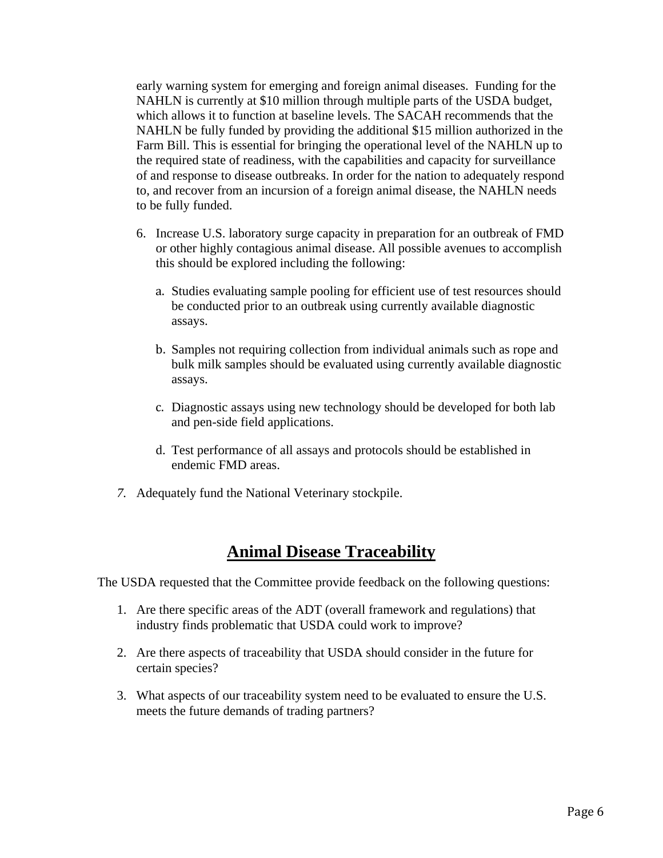early warning system for emerging and foreign animal diseases. Funding for the NAHLN is currently at \$10 million through multiple parts of the USDA budget, which allows it to function at baseline levels. The SACAH recommends that the NAHLN be fully funded by providing the additional \$15 million authorized in the Farm Bill. This is essential for bringing the operational level of the NAHLN up to the required state of readiness, with the capabilities and capacity for surveillance of and response to disease outbreaks. In order for the nation to adequately respond to, and recover from an incursion of a foreign animal disease, the NAHLN needs to be fully funded.

- 6. Increase U.S. laboratory surge capacity in preparation for an outbreak of FMD or other highly contagious animal disease. All possible avenues to accomplish this should be explored including the following:
	- a. Studies evaluating sample pooling for efficient use of test resources should be conducted prior to an outbreak using currently available diagnostic assays.
	- b. Samples not requiring collection from individual animals such as rope and bulk milk samples should be evaluated using currently available diagnostic assays.
	- c. Diagnostic assays using new technology should be developed for both lab and pen-side field applications.
	- d. Test performance of all assays and protocols should be established in endemic FMD areas.
- *7.* Adequately fund the National Veterinary stockpile.

# **Animal Disease Traceability**

The USDA requested that the Committee provide feedback on the following questions:

- 1. Are there specific areas of the ADT (overall framework and regulations) that industry finds problematic that USDA could work to improve?
- 2. Are there aspects of traceability that USDA should consider in the future for certain species?
- 3. What aspects of our traceability system need to be evaluated to ensure the U.S. meets the future demands of trading partners?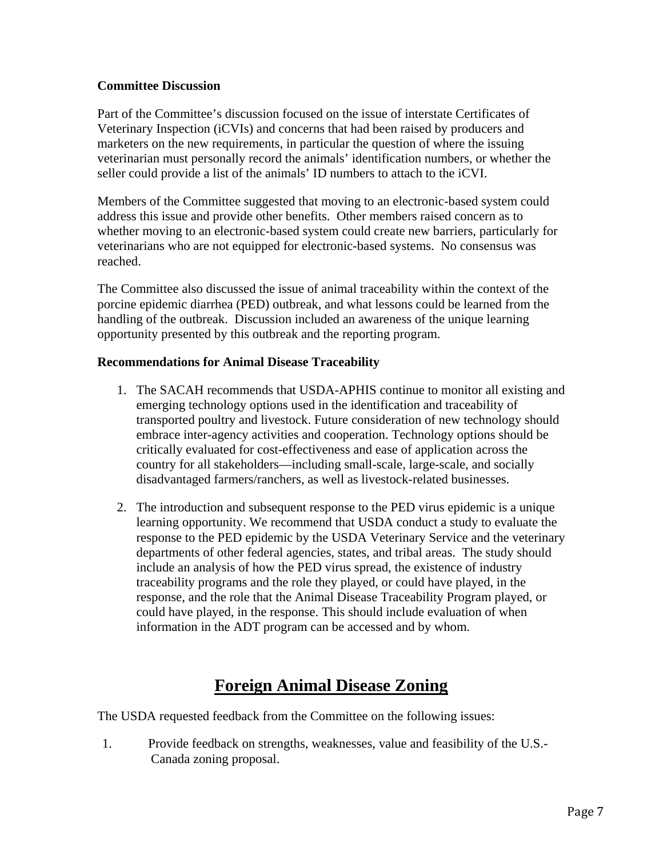### **Committee Discussion**

Part of the Committee's discussion focused on the issue of interstate Certificates of Veterinary Inspection (iCVIs) and concerns that had been raised by producers and marketers on the new requirements, in particular the question of where the issuing veterinarian must personally record the animals' identification numbers, or whether the seller could provide a list of the animals' ID numbers to attach to the iCVI.

Members of the Committee suggested that moving to an electronic-based system could address this issue and provide other benefits. Other members raised concern as to whether moving to an electronic-based system could create new barriers, particularly for veterinarians who are not equipped for electronic-based systems. No consensus was reached.

The Committee also discussed the issue of animal traceability within the context of the porcine epidemic diarrhea (PED) outbreak, and what lessons could be learned from the handling of the outbreak. Discussion included an awareness of the unique learning opportunity presented by this outbreak and the reporting program.

### **Recommendations for Animal Disease Traceability**

- 1. The SACAH recommends that USDA-APHIS continue to monitor all existing and emerging technology options used in the identification and traceability of transported poultry and livestock. Future consideration of new technology should embrace inter-agency activities and cooperation. Technology options should be critically evaluated for cost-effectiveness and ease of application across the country for all stakeholders—including small-scale, large-scale, and socially disadvantaged farmers/ranchers, as well as livestock-related businesses.
- 2. The introduction and subsequent response to the PED virus epidemic is a unique learning opportunity. We recommend that USDA conduct a study to evaluate the response to the PED epidemic by the USDA Veterinary Service and the veterinary departments of other federal agencies, states, and tribal areas. The study should include an analysis of how the PED virus spread, the existence of industry traceability programs and the role they played, or could have played, in the response, and the role that the Animal Disease Traceability Program played, or could have played, in the response. This should include evaluation of when information in the ADT program can be accessed and by whom.

# **Foreign Animal Disease Zoning**

The USDA requested feedback from the Committee on the following issues:

1. Provide feedback on strengths, weaknesses, value and feasibility of the U.S.- Canada zoning proposal.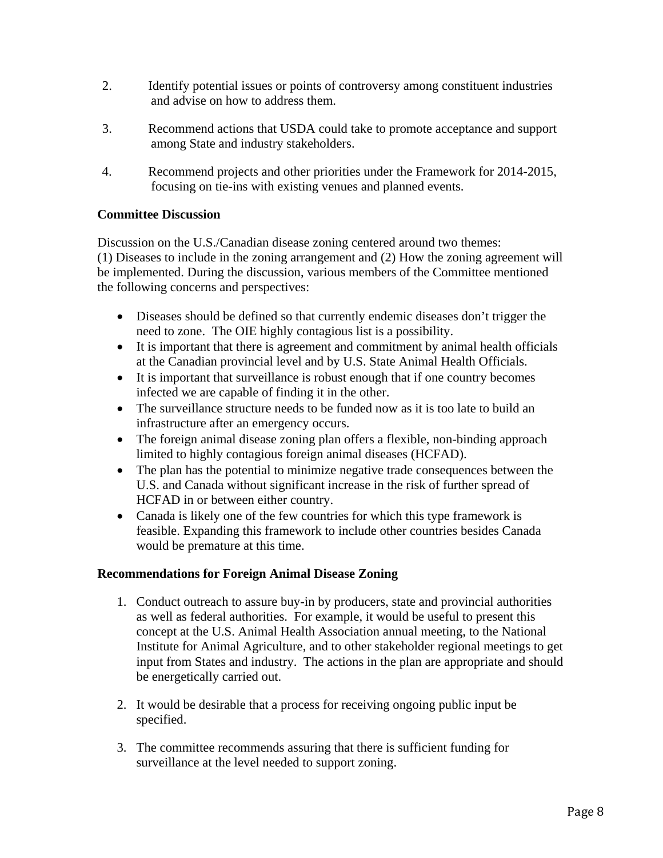- 2. Identify potential issues or points of controversy among constituent industries and advise on how to address them.
- 3. Recommend actions that USDA could take to promote acceptance and support among State and industry stakeholders.
- 4. Recommend projects and other priorities under the Framework for 2014-2015, focusing on tie-ins with existing venues and planned events.

### **Committee Discussion**

Discussion on the U.S./Canadian disease zoning centered around two themes: (1) Diseases to include in the zoning arrangement and (2) How the zoning agreement will be implemented. During the discussion, various members of the Committee mentioned the following concerns and perspectives:

- Diseases should be defined so that currently endemic diseases don't trigger the need to zone. The OIE highly contagious list is a possibility.
- It is important that there is agreement and commitment by animal health officials at the Canadian provincial level and by U.S. State Animal Health Officials.
- It is important that surveillance is robust enough that if one country becomes infected we are capable of finding it in the other.
- The surveillance structure needs to be funded now as it is too late to build an infrastructure after an emergency occurs.
- The foreign animal disease zoning plan offers a flexible, non-binding approach limited to highly contagious foreign animal diseases (HCFAD).
- The plan has the potential to minimize negative trade consequences between the U.S. and Canada without significant increase in the risk of further spread of HCFAD in or between either country.
- Canada is likely one of the few countries for which this type framework is feasible. Expanding this framework to include other countries besides Canada would be premature at this time.

### **Recommendations for Foreign Animal Disease Zoning**

- 1. Conduct outreach to assure buy-in by producers, state and provincial authorities as well as federal authorities. For example, it would be useful to present this concept at the U.S. Animal Health Association annual meeting, to the National Institute for Animal Agriculture, and to other stakeholder regional meetings to get input from States and industry. The actions in the plan are appropriate and should be energetically carried out.
- 2. It would be desirable that a process for receiving ongoing public input be specified.
- 3. The committee recommends assuring that there is sufficient funding for surveillance at the level needed to support zoning.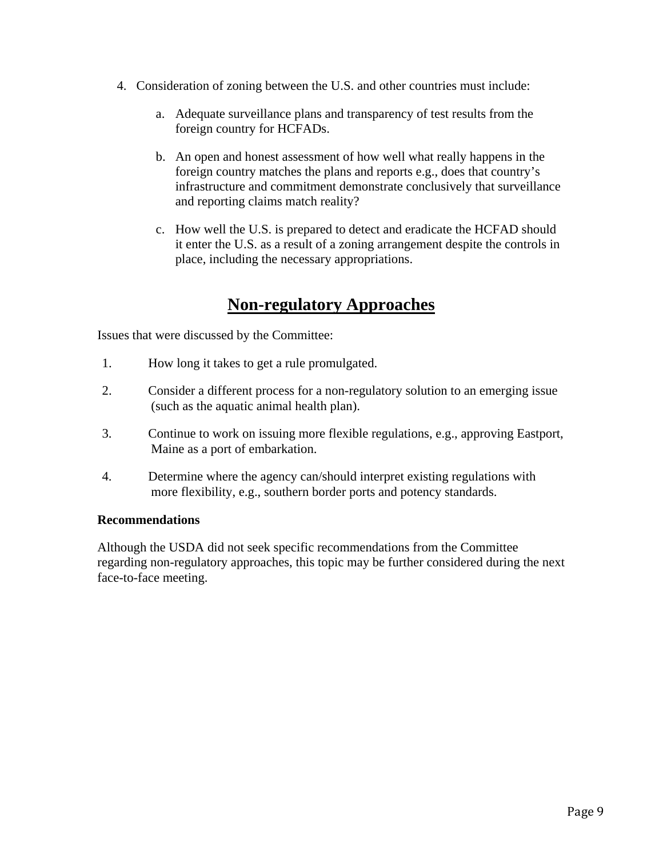- 4. Consideration of zoning between the U.S. and other countries must include:
	- a. Adequate surveillance plans and transparency of test results from the foreign country for HCFADs.
	- b. An open and honest assessment of how well what really happens in the foreign country matches the plans and reports e.g., does that country's infrastructure and commitment demonstrate conclusively that surveillance and reporting claims match reality?
	- c. How well the U.S. is prepared to detect and eradicate the HCFAD should it enter the U.S. as a result of a zoning arrangement despite the controls in place, including the necessary appropriations.

# **Non-regulatory Approaches**

Issues that were discussed by the Committee:

- 1. How long it takes to get a rule promulgated.
- 2. Consider a different process for a non-regulatory solution to an emerging issue (such as the aquatic animal health plan).
- 3. Continue to work on issuing more flexible regulations, e.g., approving Eastport, Maine as a port of embarkation.
- 4. Determine where the agency can/should interpret existing regulations with more flexibility, e.g., southern border ports and potency standards.

### **Recommendations**

Although the USDA did not seek specific recommendations from the Committee regarding non-regulatory approaches, this topic may be further considered during the next face-to-face meeting.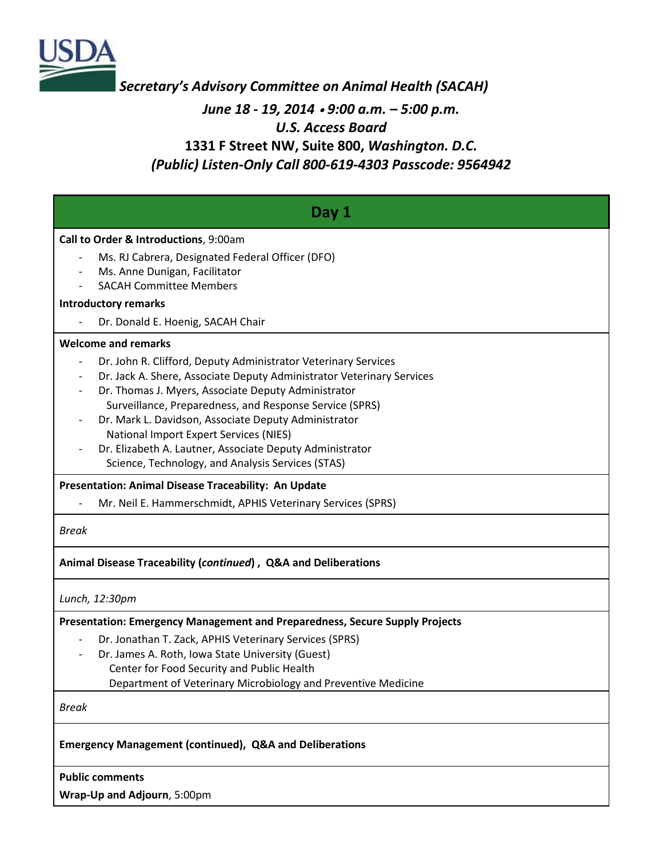

*Secretary's Advisory Committee on Animal Health (SACAH)*

### *June 18 - 19, 2014* <sup>∙</sup> *9:00 a.m. – 5:00 p.m. U.S. Access Board* **1331 F Street NW, Suite 800,** *Washington. D.C. (Public) Listen-Only Call 800-619-4303 Passcode: 9564942*

| Day 1                                                                                                                                                                                                                                                                                                                                                                                                                                                                        |  |  |  |  |  |  |  |  |  |  |
|------------------------------------------------------------------------------------------------------------------------------------------------------------------------------------------------------------------------------------------------------------------------------------------------------------------------------------------------------------------------------------------------------------------------------------------------------------------------------|--|--|--|--|--|--|--|--|--|--|
| Call to Order & Introductions, 9:00am<br>Ms. RJ Cabrera, Designated Federal Officer (DFO)<br>Ms. Anne Dunigan, Facilitator                                                                                                                                                                                                                                                                                                                                                   |  |  |  |  |  |  |  |  |  |  |
| <b>SACAH Committee Members</b>                                                                                                                                                                                                                                                                                                                                                                                                                                               |  |  |  |  |  |  |  |  |  |  |
| <b>Introductory remarks</b><br>Dr. Donald E. Hoenig, SACAH Chair                                                                                                                                                                                                                                                                                                                                                                                                             |  |  |  |  |  |  |  |  |  |  |
| <b>Welcome and remarks</b>                                                                                                                                                                                                                                                                                                                                                                                                                                                   |  |  |  |  |  |  |  |  |  |  |
| Dr. John R. Clifford, Deputy Administrator Veterinary Services<br>Dr. Jack A. Shere, Associate Deputy Administrator Veterinary Services<br>Dr. Thomas J. Myers, Associate Deputy Administrator<br>Surveillance, Preparedness, and Response Service (SPRS)<br>Dr. Mark L. Davidson, Associate Deputy Administrator<br>National Import Expert Services (NIES)<br>Dr. Elizabeth A. Lautner, Associate Deputy Administrator<br>Science, Technology, and Analysis Services (STAS) |  |  |  |  |  |  |  |  |  |  |
| Presentation: Animal Disease Traceability: An Update                                                                                                                                                                                                                                                                                                                                                                                                                         |  |  |  |  |  |  |  |  |  |  |
| Mr. Neil E. Hammerschmidt, APHIS Veterinary Services (SPRS)                                                                                                                                                                                                                                                                                                                                                                                                                  |  |  |  |  |  |  |  |  |  |  |
| <b>Break</b>                                                                                                                                                                                                                                                                                                                                                                                                                                                                 |  |  |  |  |  |  |  |  |  |  |
| Animal Disease Traceability (continued), Q&A and Deliberations                                                                                                                                                                                                                                                                                                                                                                                                               |  |  |  |  |  |  |  |  |  |  |
| Lunch, 12:30pm                                                                                                                                                                                                                                                                                                                                                                                                                                                               |  |  |  |  |  |  |  |  |  |  |
| Presentation: Emergency Management and Preparedness, Secure Supply Projects<br>Dr. Jonathan T. Zack, APHIS Veterinary Services (SPRS)<br>Dr. James A. Roth, Iowa State University (Guest)<br>Center for Food Security and Public Health<br>Department of Veterinary Microbiology and Preventive Medicine                                                                                                                                                                     |  |  |  |  |  |  |  |  |  |  |
| <b>Break</b>                                                                                                                                                                                                                                                                                                                                                                                                                                                                 |  |  |  |  |  |  |  |  |  |  |
| <b>Emergency Management (continued), Q&amp;A and Deliberations</b>                                                                                                                                                                                                                                                                                                                                                                                                           |  |  |  |  |  |  |  |  |  |  |

**Public comments** 

**Wrap-Up and Adjourn**, 5:00pm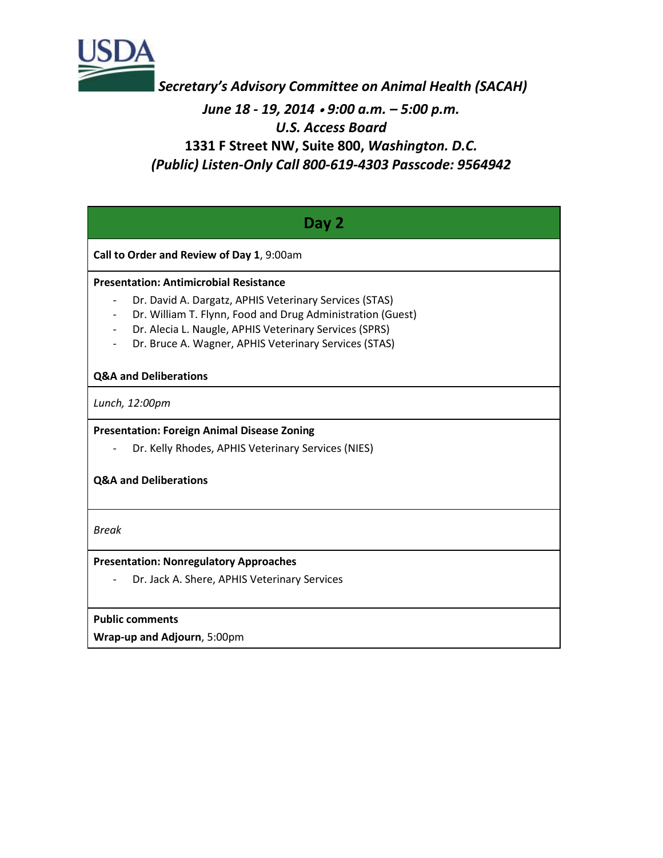

*Secretary's Advisory Committee on Animal Health (SACAH) June 18 - 19, 2014* <sup>∙</sup> *9:00 a.m. – 5:00 p.m. U.S. Access Board* **1331 F Street NW, Suite 800,** *Washington. D.C. (Public) Listen-Only Call 800-619-4303 Passcode: 9564942*

| Day 2                                                                                                                                                                        |  |  |  |  |  |  |  |  |  |  |
|------------------------------------------------------------------------------------------------------------------------------------------------------------------------------|--|--|--|--|--|--|--|--|--|--|
| Call to Order and Review of Day 1, 9:00am                                                                                                                                    |  |  |  |  |  |  |  |  |  |  |
| <b>Presentation: Antimicrobial Resistance</b>                                                                                                                                |  |  |  |  |  |  |  |  |  |  |
| Dr. David A. Dargatz, APHIS Veterinary Services (STAS)<br>$\qquad \qquad -$                                                                                                  |  |  |  |  |  |  |  |  |  |  |
| Dr. William T. Flynn, Food and Drug Administration (Guest)<br>$\overline{\phantom{a}}$<br>Dr. Alecia L. Naugle, APHIS Veterinary Services (SPRS)<br>$\overline{\phantom{a}}$ |  |  |  |  |  |  |  |  |  |  |
| Dr. Bruce A. Wagner, APHIS Veterinary Services (STAS)<br>$\overline{\phantom{a}}$                                                                                            |  |  |  |  |  |  |  |  |  |  |
| <b>Q&amp;A and Deliberations</b>                                                                                                                                             |  |  |  |  |  |  |  |  |  |  |
| Lunch, 12:00pm                                                                                                                                                               |  |  |  |  |  |  |  |  |  |  |
| <b>Presentation: Foreign Animal Disease Zoning</b>                                                                                                                           |  |  |  |  |  |  |  |  |  |  |
| Dr. Kelly Rhodes, APHIS Veterinary Services (NIES)                                                                                                                           |  |  |  |  |  |  |  |  |  |  |
| <b>Q&amp;A and Deliberations</b>                                                                                                                                             |  |  |  |  |  |  |  |  |  |  |
| <b>Break</b>                                                                                                                                                                 |  |  |  |  |  |  |  |  |  |  |
| <b>Presentation: Nonregulatory Approaches</b>                                                                                                                                |  |  |  |  |  |  |  |  |  |  |
| Dr. Jack A. Shere, APHIS Veterinary Services                                                                                                                                 |  |  |  |  |  |  |  |  |  |  |
| <b>Public comments</b>                                                                                                                                                       |  |  |  |  |  |  |  |  |  |  |
| Wrap-up and Adjourn, 5:00pm                                                                                                                                                  |  |  |  |  |  |  |  |  |  |  |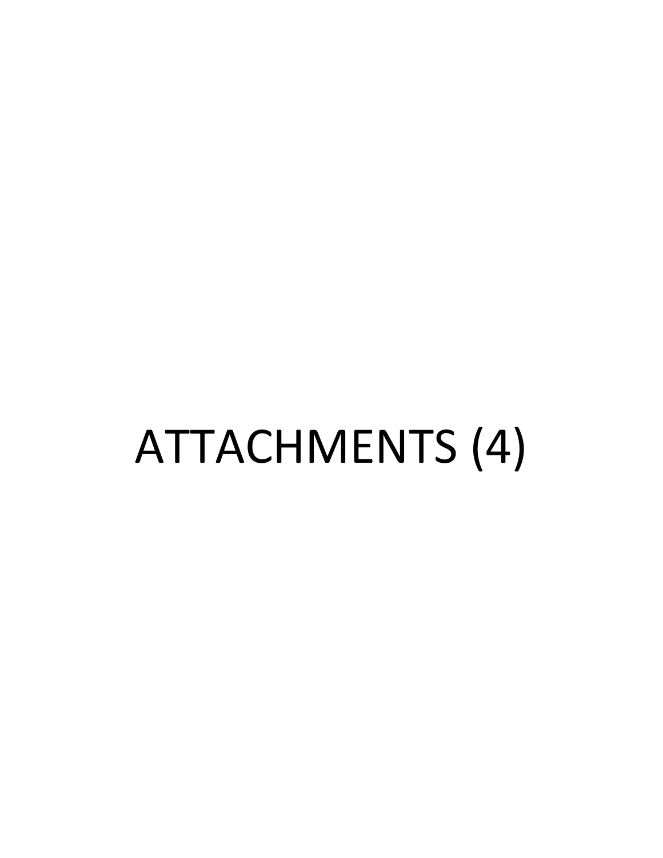# ATTACHMENTS (4)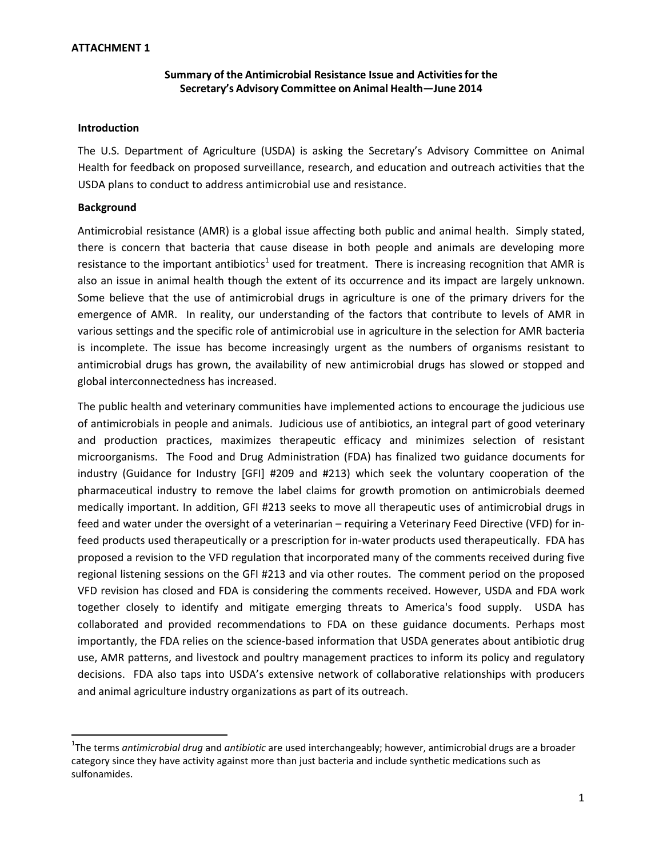### **ATTACHMENT 1**

### **Summary of the Antimicrobial Resistance Issue and Activitiesfor the Secretary's Advisory Committee on Animal Health—June 2014**

### **Introduction**

The U.S. Department of Agriculture (USDA) is asking the Secretary's Advisory Committee on Animal Health for feedback on proposed surveillance, research, and education and outreach activities that the USDA plans to conduct to address antimicrobial use and resistance.

### **Background**

Antimicrobial resistance (AMR) is a global issue affecting both public and animal health. Simply stated, there is concern that bacteria that cause disease in both people and animals are developing more resistance to the important antibiotics<sup>1</sup> used for treatment. There is increasing recognition that AMR is also an issue in animal health though the extent of its occurrence and its impact are largely unknown. Some believe that the use of antimicrobial drugs in agriculture is one of the primary drivers for the emergence of AMR. In reality, our understanding of the factors that contribute to levels of AMR in various settings and the specific role of antimicrobial use in agriculture in the selection for AMR bacteria is incomplete. The issue has become increasingly urgent as the numbers of organisms resistant to antimicrobial drugs has grown, the availability of new antimicrobial drugs has slowed or stopped and global interconnectedness has increased.

The public health and veterinary communities have implemented actions to encourage the judicious use of antimicrobials in people and animals. Judicious use of antibiotics, an integral part of good veterinary and production practices, maximizes therapeutic efficacy and minimizes selection of resistant microorganisms. The Food and Drug Administration (FDA) has finalized two guidance documents for industry (Guidance for Industry [GFI] #209 and #213) which seek the voluntary cooperation of the pharmaceutical industry to remove the label claims for growth promotion on antimicrobials deemed medically important. In addition, GFI #213 seeks to move all therapeutic uses of antimicrobial drugs in feed and water under the oversight of a veterinarian – requiring a Veterinary Feed Directive (VFD) for infeed products used therapeutically or a prescription for in-water products used therapeutically. FDA has proposed a revision to the VFD regulation that incorporated many of the comments received during five regional listening sessions on the GFI #213 and via other routes. The comment period on the proposed VFD revision has closed and FDA is considering the comments received. However, USDA and FDA work together closely to identify and mitigate emerging threats to America's food supply. USDA has collaborated and provided recommendations to FDA on these guidance documents. Perhaps most importantly, the FDA relies on the science-based information that USDA generates about antibiotic drug use, AMR patterns, and livestock and poultry management practices to inform its policy and regulatory decisions. FDA also taps into USDA's extensive network of collaborative relationships with producers and animal agriculture industry organizations as part of its outreach.

<sup>1</sup> The terms *antimicrobial drug* and *antibiotic* are used interchangeably; however, antimicrobial drugs are a broader category since they have activity against more than just bacteria and include synthetic medications such as sulfonamides.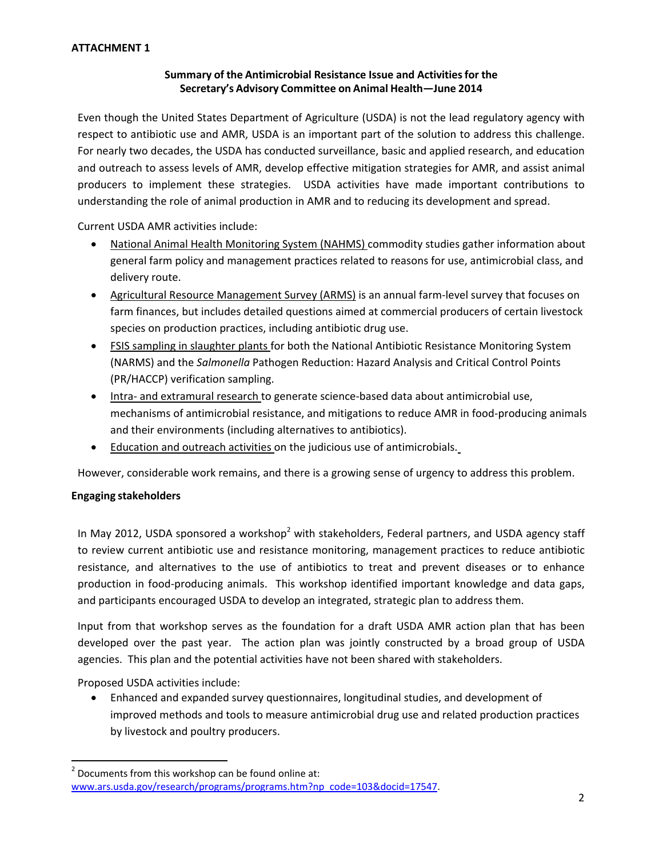### **Summary of the Antimicrobial Resistance Issue and Activitiesfor the Secretary's Advisory Committee on Animal Health—June 2014**

Even though the United States Department of Agriculture (USDA) is not the lead regulatory agency with respect to antibiotic use and AMR, USDA is an important part of the solution to address this challenge. For nearly two decades, the USDA has conducted surveillance, basic and applied research, and education and outreach to assess levels of AMR, develop effective mitigation strategies for AMR, and assist animal producers to implement these strategies. USDA activities have made important contributions to understanding the role of animal production in AMR and to reducing its development and spread.

Current USDA AMR activities include:

- National Animal Health Monitoring System (NAHMS) commodity studies gather information about general farm policy and management practices related to reasons for use, antimicrobial class, and delivery route.
- Agricultural Resource Management Survey (ARMS) is an annual farm-level survey that focuses on farm finances, but includes detailed questions aimed at commercial producers of certain livestock species on production practices, including antibiotic drug use.
- FSIS sampling in slaughter plants for both the National Antibiotic Resistance Monitoring System (NARMS) and the *Salmonella* Pathogen Reduction: Hazard Analysis and Critical Control Points (PR/HACCP) verification sampling.
- Intra- and extramural research to generate science-based data about antimicrobial use, mechanisms of antimicrobial resistance, and mitigations to reduce AMR in food‐producing animals and their environments (including alternatives to antibiotics).
- Education and outreach activities on the judicious use of antimicrobials.

However, considerable work remains, and there is a growing sense of urgency to address this problem.

### **Engaging stakeholders**

In May 2012, USDA sponsored a workshop<sup>2</sup> with stakeholders, Federal partners, and USDA agency staff to review current antibiotic use and resistance monitoring, management practices to reduce antibiotic resistance, and alternatives to the use of antibiotics to treat and prevent diseases or to enhance production in food‐producing animals. This workshop identified important knowledge and data gaps, and participants encouraged USDA to develop an integrated, strategic plan to address them.

Input from that workshop serves as the foundation for a draft USDA AMR action plan that has been developed over the past year. The action plan was jointly constructed by a broad group of USDA agencies. This plan and the potential activities have not been shared with stakeholders.

Proposed USDA activities include:

 Enhanced and expanded survey questionnaires, longitudinal studies, and development of improved methods and tools to measure antimicrobial drug use and related production practices by livestock and poultry producers.

 $2$  Documents from this workshop can be found online at: www.ars.usda.gov/research/programs/programs.htm?np\_code=103&docid=17547.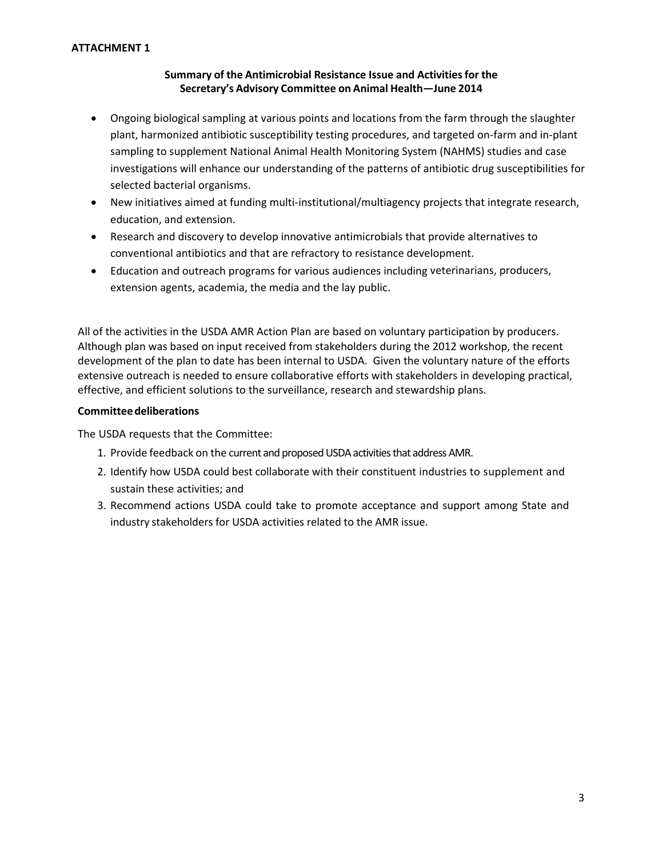### **ATTACHMENT 1**

### **Summary of the Antimicrobial Resistance Issue and Activitiesfor the Secretary's Advisory Committee on Animal Health—June 2014**

- Ongoing biological sampling at various points and locations from the farm through the slaughter plant, harmonized antibiotic susceptibility testing procedures, and targeted on‐farm and in‐plant sampling to supplement National Animal Health Monitoring System (NAHMS) studies and case investigations will enhance our understanding of the patterns of antibiotic drug susceptibilities for selected bacterial organisms.
- New initiatives aimed at funding multi-institutional/multiagency projects that integrate research, education, and extension.
- Research and discovery to develop innovative antimicrobials that provide alternatives to conventional antibiotics and that are refractory to resistance development.
- Education and outreach programs for various audiences including veterinarians, producers, extension agents, academia, the media and the lay public.

All of the activities in the USDA AMR Action Plan are based on voluntary participation by producers. Although plan was based on input received from stakeholders during the 2012 workshop, the recent development of the plan to date has been internal to USDA. Given the voluntary nature of the efforts extensive outreach is needed to ensure collaborative efforts with stakeholders in developing practical, effective, and efficient solutions to the surveillance, research and stewardship plans.

### **Committeedeliberations**

The USDA requests that the Committee:

- 1. Provide feedback on the current and proposed USDA activities that address AMR.
- 2. Identify how USDA could best collaborate with their constituent industries to supplement and sustain these activities; and
- 3. Recommend actions USDA could take to promote acceptance and support among State and industry stakeholders for USDA activities related to the AMR issue.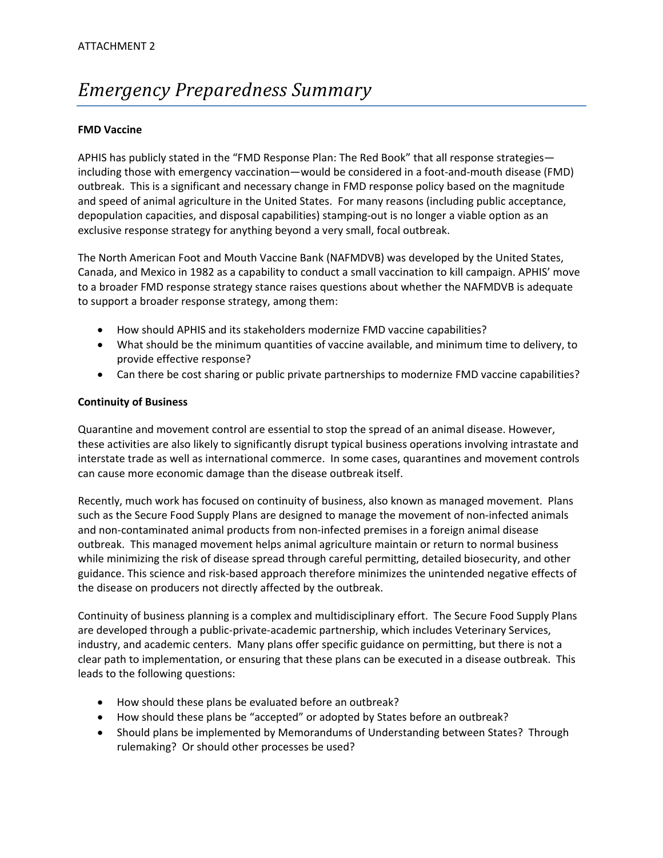# *Emergency Preparedness Summary*

### **FMD Vaccine**

APHIS has publicly stated in the "FMD Response Plan: The Red Book" that all response strategies including those with emergency vaccination—would be considered in a foot-and-mouth disease (FMD) outbreak. This is a significant and necessary change in FMD response policy based on the magnitude and speed of animal agriculture in the United States. For many reasons (including public acceptance, depopulation capacities, and disposal capabilities) stamping‐out is no longer a viable option as an exclusive response strategy for anything beyond a very small, focal outbreak.

The North American Foot and Mouth Vaccine Bank (NAFMDVB) was developed by the United States, Canada, and Mexico in 1982 as a capability to conduct a small vaccination to kill campaign. APHIS' move to a broader FMD response strategy stance raises questions about whether the NAFMDVB is adequate to support a broader response strategy, among them:

- How should APHIS and its stakeholders modernize FMD vaccine capabilities?
- What should be the minimum quantities of vaccine available, and minimum time to delivery, to provide effective response?
- Can there be cost sharing or public private partnerships to modernize FMD vaccine capabilities?

### **Continuity of Business**

Quarantine and movement control are essential to stop the spread of an animal disease. However, these activities are also likely to significantly disrupt typical business operations involving intrastate and interstate trade as well as international commerce. In some cases, quarantines and movement controls can cause more economic damage than the disease outbreak itself.

Recently, much work has focused on continuity of business, also known as managed movement. Plans such as the Secure Food Supply Plans are designed to manage the movement of non-infected animals and non-contaminated animal products from non-infected premises in a foreign animal disease outbreak. This managed movement helps animal agriculture maintain or return to normal business while minimizing the risk of disease spread through careful permitting, detailed biosecurity, and other guidance. This science and risk‐based approach therefore minimizes the unintended negative effects of the disease on producers not directly affected by the outbreak.

Continuity of business planning is a complex and multidisciplinary effort. The Secure Food Supply Plans are developed through a public‐private‐academic partnership, which includes Veterinary Services, industry, and academic centers. Many plans offer specific guidance on permitting, but there is not a clear path to implementation, or ensuring that these plans can be executed in a disease outbreak. This leads to the following questions:

- How should these plans be evaluated before an outbreak?
- How should these plans be "accepted" or adopted by States before an outbreak?
- Should plans be implemented by Memorandums of Understanding between States? Through rulemaking? Or should other processes be used?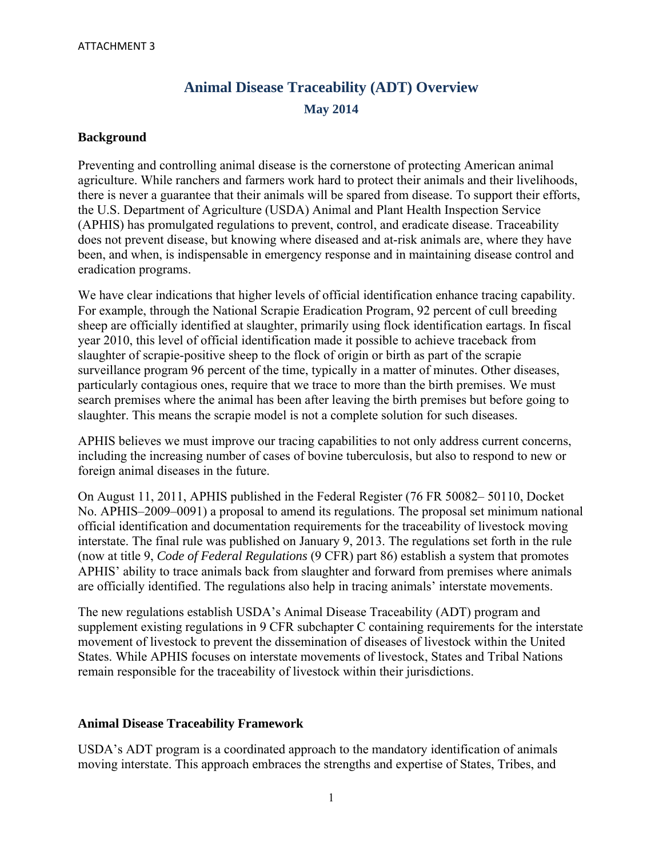# **Animal Disease Traceability (ADT) Overview May 2014**

### **Background**

Preventing and controlling animal disease is the cornerstone of protecting American animal agriculture. While ranchers and farmers work hard to protect their animals and their livelihoods, there is never a guarantee that their animals will be spared from disease. To support their efforts, the U.S. Department of Agriculture (USDA) Animal and Plant Health Inspection Service (APHIS) has promulgated regulations to prevent, control, and eradicate disease. Traceability does not prevent disease, but knowing where diseased and at-risk animals are, where they have been, and when, is indispensable in emergency response and in maintaining disease control and eradication programs.

We have clear indications that higher levels of official identification enhance tracing capability. For example, through the National Scrapie Eradication Program, 92 percent of cull breeding sheep are officially identified at slaughter, primarily using flock identification eartags. In fiscal year 2010, this level of official identification made it possible to achieve traceback from slaughter of scrapie-positive sheep to the flock of origin or birth as part of the scrapie surveillance program 96 percent of the time, typically in a matter of minutes. Other diseases, particularly contagious ones, require that we trace to more than the birth premises. We must search premises where the animal has been after leaving the birth premises but before going to slaughter. This means the scrapie model is not a complete solution for such diseases.

APHIS believes we must improve our tracing capabilities to not only address current concerns, including the increasing number of cases of bovine tuberculosis, but also to respond to new or foreign animal diseases in the future.

On August 11, 2011, APHIS published in the Federal Register (76 FR 50082– 50110, Docket No. APHIS–2009–0091) a proposal to amend its regulations. The proposal set minimum national official identification and documentation requirements for the traceability of livestock moving interstate. The final rule was published on January 9, 2013. The regulations set forth in the rule (now at title 9, *Code of Federal Regulations* (9 CFR) part 86) establish a system that promotes APHIS' ability to trace animals back from slaughter and forward from premises where animals are officially identified. The regulations also help in tracing animals' interstate movements.

The new regulations establish USDA's Animal Disease Traceability (ADT) program and supplement existing regulations in 9 CFR subchapter C containing requirements for the interstate movement of livestock to prevent the dissemination of diseases of livestock within the United States. While APHIS focuses on interstate movements of livestock, States and Tribal Nations remain responsible for the traceability of livestock within their jurisdictions.

### **Animal Disease Traceability Framework**

USDA's ADT program is a coordinated approach to the mandatory identification of animals moving interstate. This approach embraces the strengths and expertise of States, Tribes, and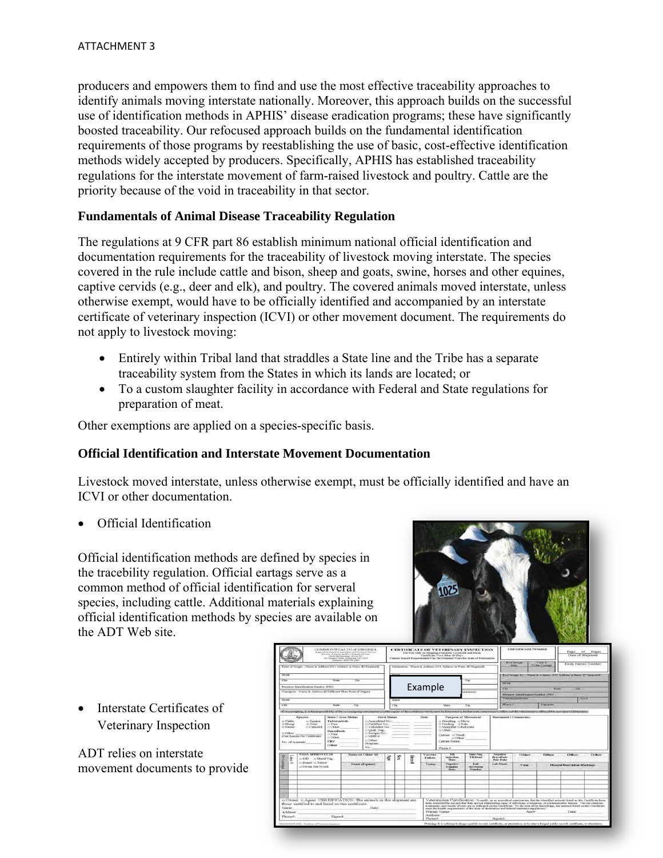producers and empowers them to find and use the most effective traceability approaches to identify animals moving interstate nationally. Moreover, this approach builds on the successful use of identification methods in APHIS' disease eradication programs; these have significantly boosted traceability. Our refocused approach builds on the fundamental identification requirements of those programs by reestablishing the use of basic, cost-effective identification methods widely accepted by producers. Specifically, APHIS has established traceability regulations for the interstate movement of farm-raised livestock and poultry. Cattle are the priority because of the void in traceability in that sector.

### **Fundamentals of Animal Disease Traceability Regulation**

The regulations at 9 CFR part 86 establish minimum national official identification and documentation requirements for the traceability of livestock moving interstate. The species covered in the rule include cattle and bison, sheep and goats, swine, horses and other equines, captive cervids (e.g., deer and elk), and poultry. The covered animals moved interstate, unless otherwise exempt, would have to be officially identified and accompanied by an interstate certificate of veterinary inspection (ICVI) or other movement document. The requirements do not apply to livestock moving:

- Entirely within Tribal land that straddles a State line and the Tribe has a separate traceability system from the States in which its lands are located; or
- To a custom slaughter facility in accordance with Federal and State regulations for preparation of meat.

Other exemptions are applied on a species-specific basis.

### **Official Identification and Interstate Movement Documentation**

Livestock moved interstate, unless otherwise exempt, must be officially identified and have an ICVI or other documentation.

Official Identification

Official identification methods are defined by species in the tracebility regulation. Official eartags serve as a common method of official identification for serveral species, including cattle. Additional materials explaining official identification methods by species are available on the ADT Web site.



• Interstate Certificates of Veterinary Inspection

ADT relies on interstate movement documents to provide

| COMMONWEALTH of VIRGINIA<br>Vegania Department of Agriculture and Consistent Develops<br>Directors of Amount and Found Industry threesom-<br>Clover Hell Bushbug - Street 143<br>12) Governor Denn, Robertsch, VA 23219<br>Telephone (SDA) 764-2423                                   |                                                                                                                                                                                                                                |                                                                                           |             |                       |  |                |                                                                                                                      |                          | <b>CERTIFICATE OF VETERINARY INSPECTION</b><br>For Use Only In Shipping Domestic Livestock and Bison<br>Certificate Void After 30 Days<br>Current Import Requirements Can Be Obtained From the State of Destination |                                     |                                             | <b>CERTIFICATE NUMBER</b>                                                      |                                      |       | Page of Pages<br>Date of Shipment |  |
|---------------------------------------------------------------------------------------------------------------------------------------------------------------------------------------------------------------------------------------------------------------------------------------|--------------------------------------------------------------------------------------------------------------------------------------------------------------------------------------------------------------------------------|-------------------------------------------------------------------------------------------|-------------|-----------------------|--|----------------|----------------------------------------------------------------------------------------------------------------------|--------------------------|---------------------------------------------------------------------------------------------------------------------------------------------------------------------------------------------------------------------|-------------------------------------|---------------------------------------------|--------------------------------------------------------------------------------|--------------------------------------|-------|-----------------------------------|--|
| Point of Origin - Name & Address (911 Address or Prem. ID Required).                                                                                                                                                                                                                  |                                                                                                                                                                                                                                |                                                                                           |             |                       |  |                |                                                                                                                      |                          | Destination - Name & Address (931 Address or Press, ID Required).                                                                                                                                                   |                                     |                                             | <b>Mayd'instant</b><br><b>Distr</b>                                            | Yonat #<br>To Re-Covenant            |       | Entry Permit Number               |  |
| <b>Newport</b>                                                                                                                                                                                                                                                                        |                                                                                                                                                                                                                                |                                                                                           |             |                       |  |                |                                                                                                                      |                          |                                                                                                                                                                                                                     |                                     |                                             | Re-Consum To - Name & Address (911 Address or Penn, ID Required).              |                                      |       |                                   |  |
| <b>State</b><br>$Z$ áss<br><b>Cleve</b><br>Premises Identification Number (PIN):<br>Consigner - Name & Address (If Different Than Point of Origin)<br><b>Newport</b><br><b>State</b><br>City<br>25n                                                                                   |                                                                                                                                                                                                                                |                                                                                           |             |                       |  |                |                                                                                                                      |                          | Zap                                                                                                                                                                                                                 |                                     |                                             |                                                                                |                                      |       |                                   |  |
|                                                                                                                                                                                                                                                                                       |                                                                                                                                                                                                                                |                                                                                           |             |                       |  |                |                                                                                                                      | Example                  |                                                                                                                                                                                                                     |                                     |                                             | Street.<br>State<br><b>CYN</b><br>239<br>President Identification Number (PIN) |                                      |       |                                   |  |
|                                                                                                                                                                                                                                                                                       |                                                                                                                                                                                                                                |                                                                                           |             |                       |  |                |                                                                                                                      |                          |                                                                                                                                                                                                                     | statution)                          |                                             |                                                                                |                                      |       |                                   |  |
|                                                                                                                                                                                                                                                                                       |                                                                                                                                                                                                                                |                                                                                           |             |                       |  | <b>Ritreen</b> |                                                                                                                      |                          |                                                                                                                                                                                                                     |                                     |                                             | Veteriorian Maure<br>Acc #                                                     |                                      |       |                                   |  |
|                                                                                                                                                                                                                                                                                       |                                                                                                                                                                                                                                |                                                                                           |             |                       |  | City           |                                                                                                                      |                          | State<br>2.40                                                                                                                                                                                                       |                                     | <b>Phimoto</b>                              |                                                                                | <b><i>Signatore</i></b>              |       |                                   |  |
|                                                                                                                                                                                                                                                                                       | (If responsions) it is the responsibility of the re-consister veterinarias to reader anythic of this continuate tends contained by Edwarded to Edwarded to Alector internation in effice and the veterinarium were effect of t |                                                                                           |             |                       |  |                |                                                                                                                      |                          |                                                                                                                                                                                                                     |                                     |                                             |                                                                                |                                      |       |                                   |  |
| State / Area Status<br><b>Species</b><br>c: Cottle<br>12 Elginiani<br><b>Tuberculosis</b><br>12 Accredited No. 1<br>D Goat<br><b>CCSheep</b><br><b>G</b> Free<br>D.Certified No.7<br>:: Camelid<br>12 Validated No. .<br>11 Swime<br>Ct Other<br>er Qual. Neg.:<br><b>Brucellosis</b> |                                                                                                                                                                                                                                |                                                                                           | Herd Status |                       |  | Date           | <b>Parpose of Movement</b><br>12 Heppedings 21 Silkow<br>12 Feeding 13 Sale<br>15 Shoughter to Relocate<br>ci Other: |                          |                                                                                                                                                                                                                     | Statement / Comments:               |                                             |                                                                                |                                      |       |                                   |  |
| O Serimie No.:<br>13 Other<br>ra Free<br>(Clog Species Per Certificate)<br>$\cap$ NPIP $\#$<br>CLOther<br>rs Other.<br>PRV<br>No. of Ammuls<br><b>Program</b> :<br><b>Other</b>                                                                                                       |                                                                                                                                                                                                                                |                                                                                           |             |                       |  |                | Currier: 12 Truck<br>to Other:<br>Currier Name:                                                                      |                          |                                                                                                                                                                                                                     |                                     |                                             |                                                                                |                                      |       |                                   |  |
|                                                                                                                                                                                                                                                                                       |                                                                                                                                                                                                                                |                                                                                           |             | No.                   |  |                |                                                                                                                      |                          | Phone #                                                                                                                                                                                                             |                                     |                                             |                                                                                |                                      |       |                                   |  |
| Ţ<br>Kechan                                                                                                                                                                                                                                                                           |                                                                                                                                                                                                                                | <b>USDA APPROVED ID</b><br>EXID EN Metal Tag<br>to Brand, to Tattoo<br>c) Swine Ear Notch |             | Name or Other ID<br>彦 |  | R,             | Breed                                                                                                                | Vaccine<br><b>Tatton</b> | <b>TB</b><br>Injection<br>Date.                                                                                                                                                                                     | Date Neg.<br><b>TBRead</b>          | Negative<br><b>Bruceflosts</b><br>Test Date | Other                                                                          | Other                                | Other | Other                             |  |
| <b>TER</b>                                                                                                                                                                                                                                                                            |                                                                                                                                                                                                                                |                                                                                           |             | Name (Equine)         |  |                |                                                                                                                      | I canta.                 | Negative<br>Coggins<br>Date                                                                                                                                                                                         | Lab.<br>Accountour<br><b>Number</b> | Lab Name                                    | Color                                                                          | <b>Floydeal Deseriation Markings</b> |       |                                   |  |
|                                                                                                                                                                                                                                                                                       |                                                                                                                                                                                                                                |                                                                                           |             |                       |  |                |                                                                                                                      |                          |                                                                                                                                                                                                                     |                                     |                                             |                                                                                |                                      |       |                                   |  |
|                                                                                                                                                                                                                                                                                       |                                                                                                                                                                                                                                |                                                                                           |             |                       |  |                |                                                                                                                      |                          |                                                                                                                                                                                                                     |                                     |                                             |                                                                                |                                      |       |                                   |  |
|                                                                                                                                                                                                                                                                                       |                                                                                                                                                                                                                                |                                                                                           |             |                       |  |                |                                                                                                                      |                          |                                                                                                                                                                                                                     |                                     |                                             |                                                                                |                                      |       |                                   |  |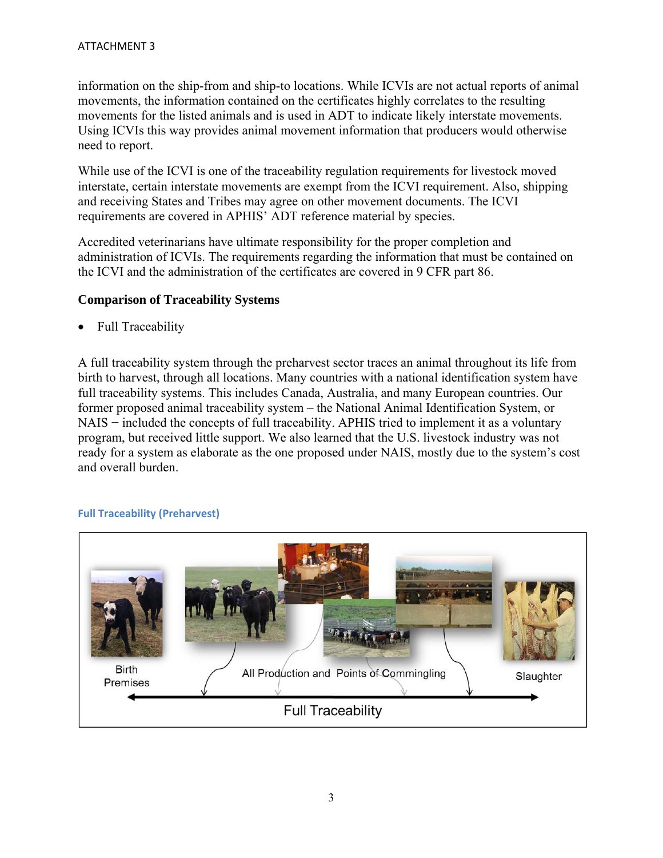information on the ship-from and ship-to locations. While ICVIs are not actual reports of animal movements, the information contained on the certificates highly correlates to the resulting movements for the listed animals and is used in ADT to indicate likely interstate movements. Using ICVIs this way provides animal movement information that producers would otherwise need to report.

While use of the ICVI is one of the traceability regulation requirements for livestock moved interstate, certain interstate movements are exempt from the ICVI requirement. Also, shipping and receiving States and Tribes may agree on other movement documents. The ICVI requirements are covered in APHIS' ADT reference material by species.

Accredited veterinarians have ultimate responsibility for the proper completion and administration of ICVIs. The requirements regarding the information that must be contained on the ICVI and the administration of the certificates are covered in 9 CFR part 86.

### **Comparison of Traceability Systems**

Full Traceability

A full traceability system through the preharvest sector traces an animal throughout its life from birth to harvest, through all locations. Many countries with a national identification system have full traceability systems. This includes Canada, Australia, and many European countries. Our former proposed animal traceability system – the National Animal Identification System, or NAIS − included the concepts of full traceability. APHIS tried to implement it as a voluntary program, but received little support. We also learned that the U.S. livestock industry was not ready for a system as elaborate as the one proposed under NAIS, mostly due to the system's cost and overall burden.



### **Full Traceability (Preharvest)**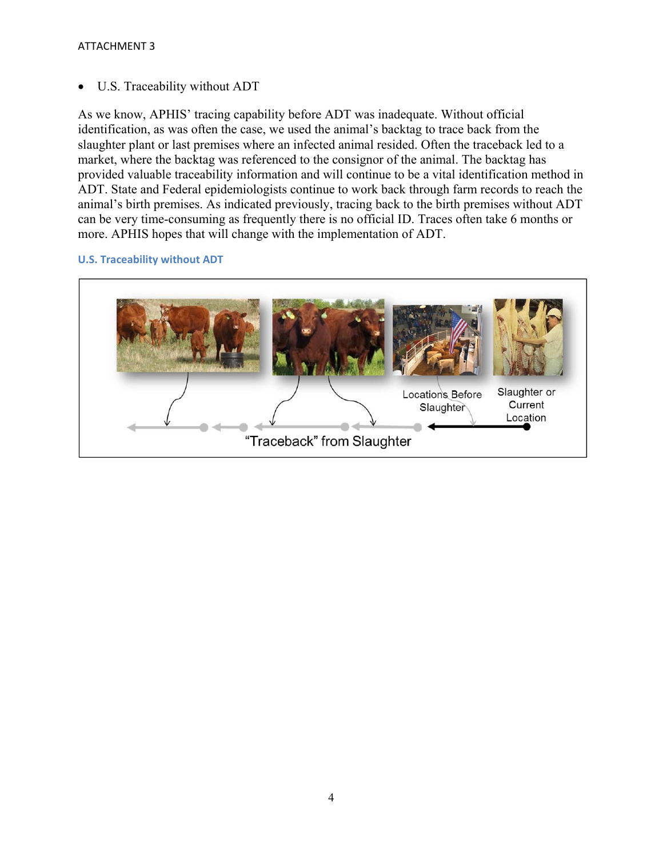### ATTACHMENT 3

U.S. Traceability without ADT

As we know, APHIS' tracing capability before ADT was inadequate. Without official identification, as was often the case, we used the animal's backtag to trace back from the slaughter plant or last premises where an infected animal resided. Often the traceback led to a market, where the backtag was referenced to the consignor of the animal. The backtag has provided valuable traceability information and will continue to be a vital identification method in ADT. State and Federal epidemiologists continue to work back through farm records to reach the animal's birth premises. As indicated previously, tracing back to the birth premises without ADT can be very time-consuming as frequently there is no official ID. Traces often take 6 months or more. APHIS hopes that will change with the implementation of ADT.

### **U.S. Traceability without ADT**

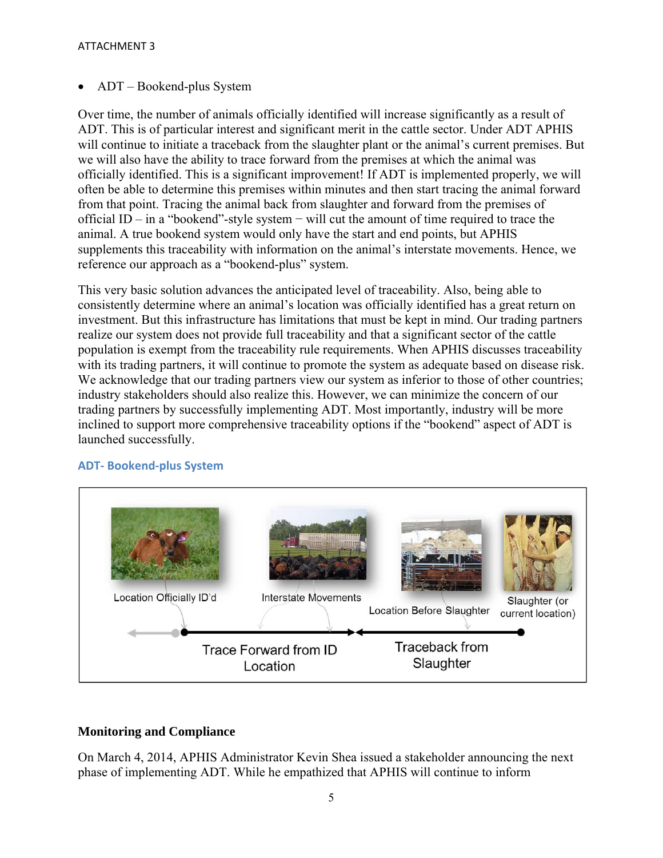### ADT – Bookend-plus System

Over time, the number of animals officially identified will increase significantly as a result of ADT. This is of particular interest and significant merit in the cattle sector. Under ADT APHIS will continue to initiate a traceback from the slaughter plant or the animal's current premises. But we will also have the ability to trace forward from the premises at which the animal was officially identified. This is a significant improvement! If ADT is implemented properly, we will often be able to determine this premises within minutes and then start tracing the animal forward from that point. Tracing the animal back from slaughter and forward from the premises of official ID – in a "bookend"-style system − will cut the amount of time required to trace the animal. A true bookend system would only have the start and end points, but APHIS supplements this traceability with information on the animal's interstate movements. Hence, we reference our approach as a "bookend-plus" system.

This very basic solution advances the anticipated level of traceability. Also, being able to consistently determine where an animal's location was officially identified has a great return on investment. But this infrastructure has limitations that must be kept in mind. Our trading partners realize our system does not provide full traceability and that a significant sector of the cattle population is exempt from the traceability rule requirements. When APHIS discusses traceability with its trading partners, it will continue to promote the system as adequate based on disease risk. We acknowledge that our trading partners view our system as inferior to those of other countries; industry stakeholders should also realize this. However, we can minimize the concern of our trading partners by successfully implementing ADT. Most importantly, industry will be more inclined to support more comprehensive traceability options if the "bookend" aspect of ADT is launched successfully.



### **ADT‐ Bookend‐plus System**

### **Monitoring and Compliance**

On March 4, 2014, APHIS Administrator Kevin Shea issued a stakeholder announcing the next phase of implementing ADT. While he empathized that APHIS will continue to inform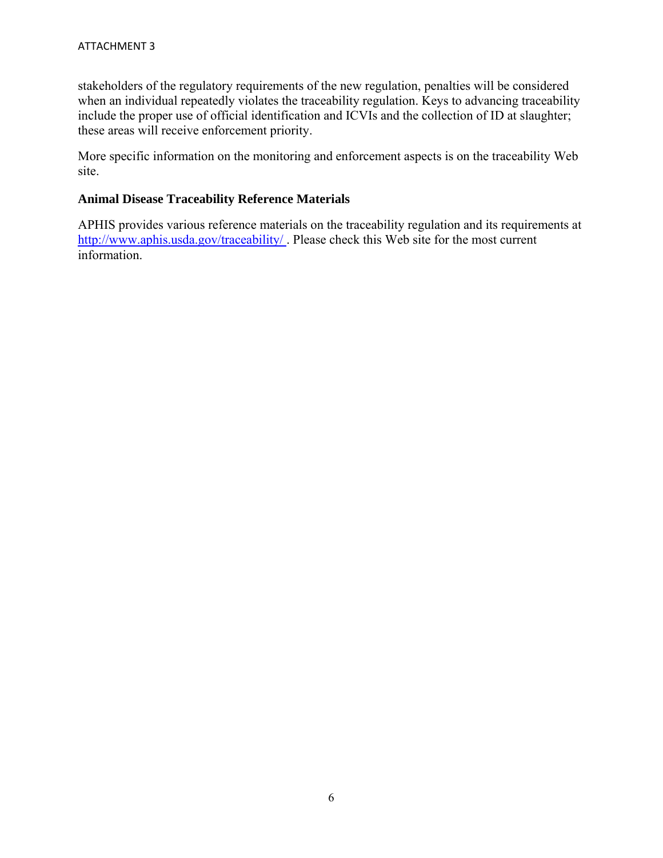stakeholders of the regulatory requirements of the new regulation, penalties will be considered when an individual repeatedly violates the traceability regulation. Keys to advancing traceability include the proper use of official identification and ICVIs and the collection of ID at slaughter; these areas will receive enforcement priority.

More specific information on the monitoring and enforcement aspects is on the traceability Web site.

### **Animal Disease Traceability Reference Materials**

APHIS provides various reference materials on the traceability regulation and its requirements at http://www.aphis.usda.gov/traceability/ . Please check this Web site for the most current information.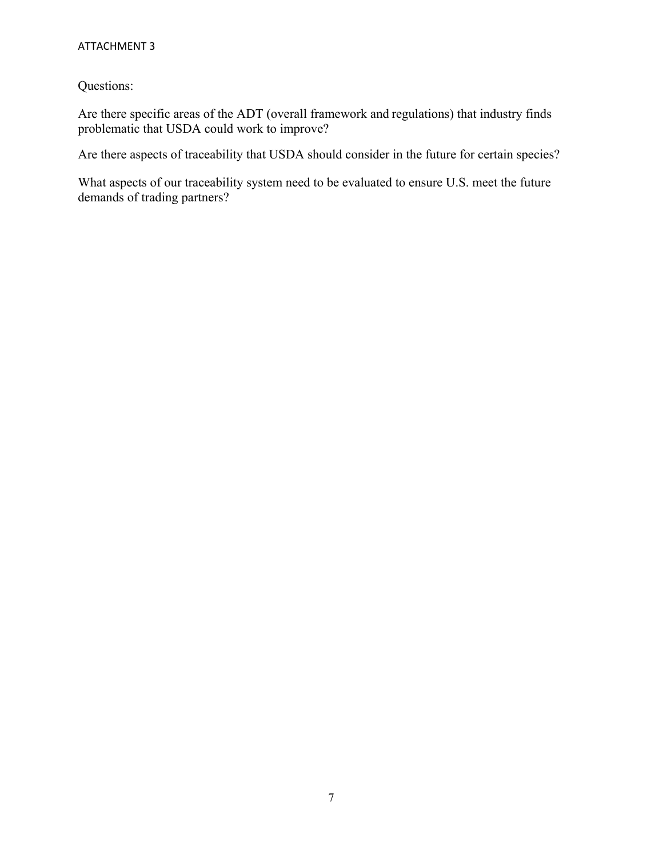### ATTACHMENT 3

Questions:

Are there specific areas of the ADT (overall framework and regulations) that industry finds problematic that USDA could work to improve?

Are there aspects of traceability that USDA should consider in the future for certain species?

What aspects of our traceability system need to be evaluated to ensure U.S. meet the future demands of trading partners?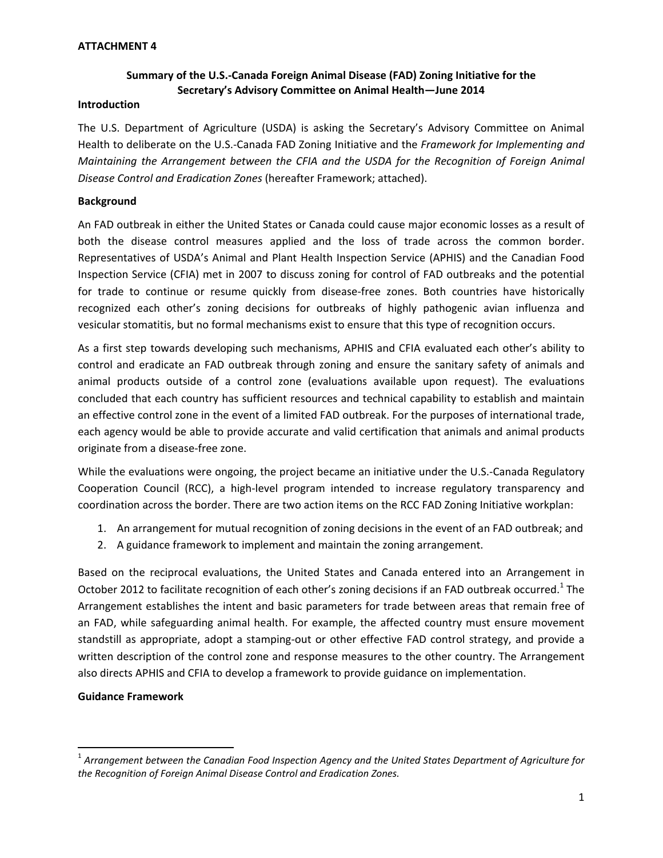### **ATTACHMENT 4**

### **Summary of the U.S.‐Canada Foreign Animal Disease (FAD) Zoning Initiative for the Secretary's Advisory Committee on Animal Health—June 2014**

#### **Introduction**

The U.S. Department of Agriculture (USDA) is asking the Secretary's Advisory Committee on Animal Health to deliberate on the U.S.‐Canada FAD Zoning Initiative and the *Framework for Implementing and Maintaining the Arrangement between the CFIA and the USDA for the Recognition of Foreign Animal Disease Control and Eradication Zones* (hereafter Framework; attached).

### **Background**

An FAD outbreak in either the United States or Canada could cause major economic losses as a result of both the disease control measures applied and the loss of trade across the common border. Representatives of USDA's Animal and Plant Health Inspection Service (APHIS) and the Canadian Food Inspection Service (CFIA) met in 2007 to discuss zoning for control of FAD outbreaks and the potential for trade to continue or resume quickly from disease-free zones. Both countries have historically recognized each other's zoning decisions for outbreaks of highly pathogenic avian influenza and vesicular stomatitis, but no formal mechanisms exist to ensure that this type of recognition occurs.

As a first step towards developing such mechanisms, APHIS and CFIA evaluated each other's ability to control and eradicate an FAD outbreak through zoning and ensure the sanitary safety of animals and animal products outside of a control zone (evaluations available upon request). The evaluations concluded that each country has sufficient resources and technical capability to establish and maintain an effective control zone in the event of a limited FAD outbreak. For the purposes of international trade, each agency would be able to provide accurate and valid certification that animals and animal products originate from a disease‐free zone.

While the evaluations were ongoing, the project became an initiative under the U.S.-Canada Regulatory Cooperation Council (RCC), a high‐level program intended to increase regulatory transparency and coordination across the border. There are two action items on the RCC FAD Zoning Initiative workplan:

- 1. An arrangement for mutual recognition of zoning decisions in the event of an FAD outbreak; and
- 2. A guidance framework to implement and maintain the zoning arrangement.

Based on the reciprocal evaluations, the United States and Canada entered into an Arrangement in October 2012 to facilitate recognition of each other's zoning decisions if an FAD outbreak occurred.<sup>1</sup> The Arrangement establishes the intent and basic parameters for trade between areas that remain free of an FAD, while safeguarding animal health. For example, the affected country must ensure movement standstill as appropriate, adopt a stamping‐out or other effective FAD control strategy, and provide a written description of the control zone and response measures to the other country. The Arrangement also directs APHIS and CFIA to develop a framework to provide guidance on implementation.

### **Guidance Framework**

<sup>1</sup> *Arrangement between the Canadian Food Inspection Agency and the United States Department of Agriculture for the Recognition of Foreign Animal Disease Control and Eradication Zones.*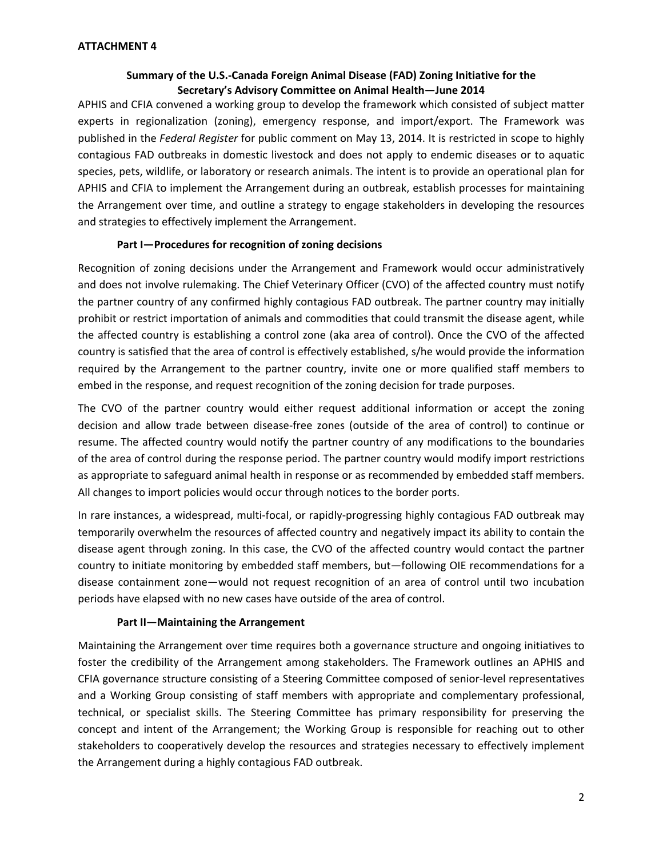### **Summary of the U.S.‐Canada Foreign Animal Disease (FAD) Zoning Initiative for the Secretary's Advisory Committee on Animal Health—June 2014**

APHIS and CFIA convened a working group to develop the framework which consisted of subject matter experts in regionalization (zoning), emergency response, and import/export. The Framework was published in the *Federal Register* for public comment on May 13, 2014. It is restricted in scope to highly contagious FAD outbreaks in domestic livestock and does not apply to endemic diseases or to aquatic species, pets, wildlife, or laboratory or research animals. The intent is to provide an operational plan for APHIS and CFIA to implement the Arrangement during an outbreak, establish processes for maintaining the Arrangement over time, and outline a strategy to engage stakeholders in developing the resources and strategies to effectively implement the Arrangement.

### **Part I—Procedures for recognition of zoning decisions**

Recognition of zoning decisions under the Arrangement and Framework would occur administratively and does not involve rulemaking. The Chief Veterinary Officer (CVO) of the affected country must notify the partner country of any confirmed highly contagious FAD outbreak. The partner country may initially prohibit or restrict importation of animals and commodities that could transmit the disease agent, while the affected country is establishing a control zone (aka area of control). Once the CVO of the affected country is satisfied that the area of control is effectively established, s/he would provide the information required by the Arrangement to the partner country, invite one or more qualified staff members to embed in the response, and request recognition of the zoning decision for trade purposes.

The CVO of the partner country would either request additional information or accept the zoning decision and allow trade between disease‐free zones (outside of the area of control) to continue or resume. The affected country would notify the partner country of any modifications to the boundaries of the area of control during the response period. The partner country would modify import restrictions as appropriate to safeguard animal health in response or as recommended by embedded staff members. All changes to import policies would occur through notices to the border ports.

In rare instances, a widespread, multi‐focal, or rapidly‐progressing highly contagious FAD outbreak may temporarily overwhelm the resources of affected country and negatively impact its ability to contain the disease agent through zoning. In this case, the CVO of the affected country would contact the partner country to initiate monitoring by embedded staff members, but—following OIE recommendations for a disease containment zone—would not request recognition of an area of control until two incubation periods have elapsed with no new cases have outside of the area of control.

### **Part II—Maintaining the Arrangement**

Maintaining the Arrangement over time requires both a governance structure and ongoing initiatives to foster the credibility of the Arrangement among stakeholders. The Framework outlines an APHIS and CFIA governance structure consisting of a Steering Committee composed of senior‐level representatives and a Working Group consisting of staff members with appropriate and complementary professional, technical, or specialist skills. The Steering Committee has primary responsibility for preserving the concept and intent of the Arrangement; the Working Group is responsible for reaching out to other stakeholders to cooperatively develop the resources and strategies necessary to effectively implement the Arrangement during a highly contagious FAD outbreak.